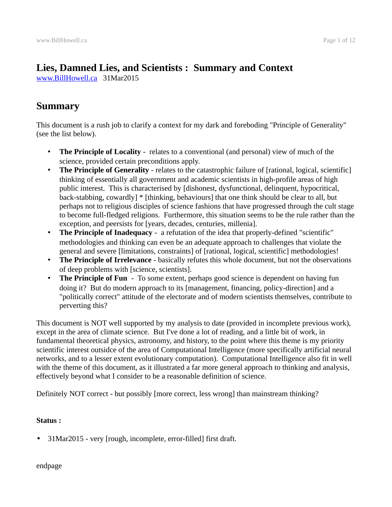# **Lies, Damned Lies, and Scientists : Summary and Context**

[www.BillHowell.ca](http://www.BillHowell.ca/) 31Mar2015

## <span id="page-0-0"></span>**Summary**

This document is a rush job to clarify a context for my dark and foreboding "Principle of Generality" (see the list below).

- **The Principle of Locality** relates to a conventional (and personal) view of much of the science, provided certain preconditions apply.
- **The Principle of Generality** relates to the catastrophic failure of [rational, logical, scientific] thinking of essentially all government and academic scientists in high-profile areas of high public interest. This is characterised by [dishonest, dysfunctional, delinquent, hypocritical, back-stabbing, cowardly] \* [thinking, behaviours] that one think should be clear to all, but perhaps not to religious disciples of science fashions that have progressed through the cult stage to become full-fledged religions. Furthermore, this situation seems to be the rule rather than the exception, and peersists for [years, decades, centuries, millenia].
- **The Principle of Inadequacy** a refutation of the idea that properly-defined "scientific" methodologies and thinking can even be an adequate approach to challenges that violate the general and severe [limitations, constraints] of [rational, logical, scientific] methodologies!
- **The Principle of Irrelevance** basically refutes this whole document, but not the observations of deep problems with [science, scientists].
- **The Principle of Fun** To some extent, perhaps good science is dependent on having fun doing it? But do modern approach to its [management, financing, policy-direction] and a "politically correct" attitude of the electorate and of modern scientists themselves, contribute to perverting this?

This document is NOT well supported by my analysis to date (provided in incomplete previous work), except in the area of climate science. But I've done a lot of reading, and a little bit of work, in fundamental theoretical physics, astronomy, and history, to the point where this theme is my priority scientific interest outsidce of the area of Computational Intelligence (more specifically artificial neural networks, and to a lesser extent evolutionary computation). Computational Intelligence also fit in well with the theme of this document, as it illustrated a far more general approach to thinking and analysis, effectively beyond what I consider to be a reasonable definition of science.

Definitely NOT correct - but possibly [more correct, less wrong] than mainstream thinking?

#### **Status :**

• 31Mar2015 - very [rough, incomplete, error-filled] first draft.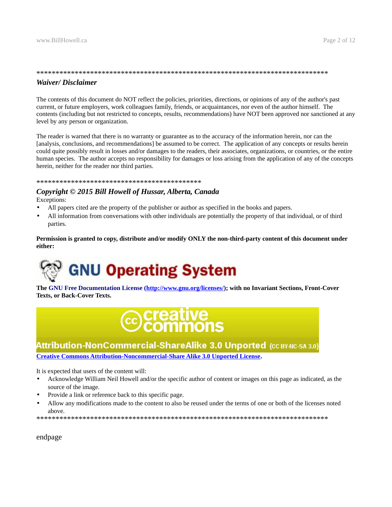#### \*\*\*\*\*\*\*\*\*\*\*\*\*\*\*\*\*\*\*\*\*\*\*\*\*\*\*\*\*\*\*\*\*\*\*\*\*\*\*\*\*\*\*\*\*\*\*\*\*\*\*\*\*\*\*\*\*\*\*\*\*\*\*\*\*\*\*\*\*\*\*\*\*\*\*\* *Waiver/ Disclaimer*

The contents of this document do NOT reflect the policies, priorities, directions, or opinions of any of the author's past current, or future employers, work colleagues family, friends, or acquaintances, nor even of the author himself. The contents (including but not restricted to concepts, results, recommendations) have NOT been approved nor sanctioned at any level by any person or organization.

The reader is warned that there is no warranty or guarantee as to the accuracy of the information herein, nor can the [analysis, conclusions, and recommendations] be assumed to be correct. The application of any concepts or results herein could quite possibly result in losses and/or damages to the readers, their associates, organizations, or countries, or the entire human species. The author accepts no responsibility for damages or loss arising from the application of any of the concepts herein, neither for the reader nor third parties.

#### \*\*\*\*\*\*\*\*\*\*\*\*\*\*\*\*\*\*\*\*\*\*\*\*\*\*\*\*\*\*\*\*\*\*\*\*\*\*\*\*\*\*\*

#### *Copyright © 2015 Bill Howell of Hussar, Alberta, Canada* Exceptions:

- All papers cited are the property of the publisher or author as specified in the books and papers.
- All information from conversations with other individuals are potentially the property of that individual, or of third parties.

**Permission is granted to copy, distribute and/or modify ONLY the non-third-party content of this document under either:**



**The GNU Free Documentation License [\(http://www.gnu.org/licenses/\)](http://www.gnu.org/licenses/); with no Invariant Sections, Front-Cover Texts, or Back-Cover Texts.**

# **©creative**<br>©Commons

## Attribution-NonCommercial-ShareAlike 3.0 Unported (CC BY-NC-SA 3.0)

**[Creative Commons Attribution-Noncommercial-Share Alike 3.0 Unported License.](http://creativecommons.org/licenses/by-nc-sa/3.0/)**

It is expected that users of the content will:

- Acknowledge William Neil Howell and/or the specific author of content or images on this page as indicated, as the source of the image.
- Provide a link or reference back to this specific page.
- Allow any modifications made to the content to also be reused under the terms of one or both of the licenses noted above.

\*\*\*\*\*\*\*\*\*\*\*\*\*\*\*\*\*\*\*\*\*\*\*\*\*\*\*\*\*\*\*\*\*\*\*\*\*\*\*\*\*\*\*\*\*\*\*\*\*\*\*\*\*\*\*\*\*\*\*\*\*\*\*\*\*\*\*\*\*\*\*\*\*\*\*\*

endpage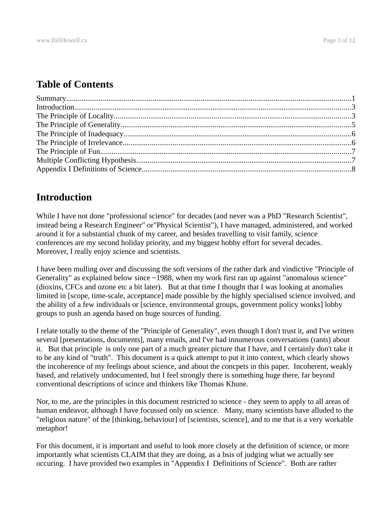## **Table of Contents**

## <span id="page-2-0"></span>**Introduction**

While I have not done "professional science" for decades (and never was a PhD "Research Scientist", instead being a Research Engineer" or"Physical Scientist"), I have managed, administered, and worked around it for a substantial chunk of my career, and besides travelling to visit family, science conferences are my second holiday priority, and my biggest hobby effort for several decades. Moreover, I really enjoy science and scientists.

I have been mulling over and discussing the soft versions of the rather dark and vindictive "Principle of Generality" as explained below since  $\sim$ 1988, when my work first ran up against "anomalous science" (dioxins, CFCs and ozone etc a bit later). But at that time I thought that I was looking at anomalies limited in [scope, time-scale, acceptance] made possible by the highly specialised science involved, and the ability of a few individuals or [science, environmental groups, government policy wonks] lobby groups to push an agenda based on huge sources of funding.

I relate totally to the theme of the "Principle of Generality", even though I don't trust it, and I've written several [presentations, documents], many emails, and I've had innumerous conversations (rants) about it. But that principle is only one part of a much greater picture that I have, and I certainly don't take it to be any kind of "truth". This document is a quick attempt to put it into context, which clearly shows the incoherence of my feelings about science, and about the concpets in this paper. Incoherent, weakly based, and relatively undocumented, but I feel strongly there is something huge there, far beyond conventional descriptions of scince and thinkers like Thomas Khune.

Nor, to me, are the principles in this document restricted to science - they seem to apply to all areas of human endeavor, although I have focussed only on science. Many, many scientists have alluded to the "religious nature" of the [thinking, behaviour] of [scientists, science], and to me that is a very workable metaphor!

For this document, it is important and useful to look more closely at the definition of science, or more importantly what scientists CLAIM that they are doing, as a bsis of judging what we actually see occuring. I have provided two examples in "Appendix I Definitions of Science". Both are rather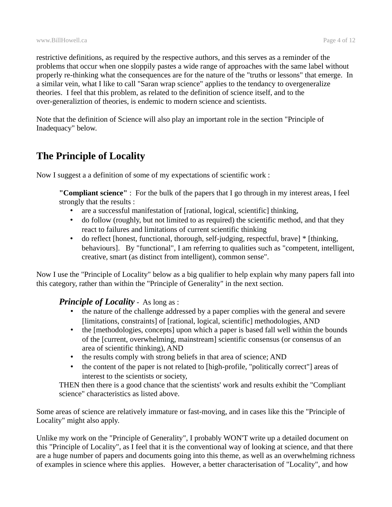restrictive definitions, as required by the respective authors, and this serves as a reminder of the problems that occur when one sloppily pastes a wide range of approaches with the same label without properly re-thinking what the consequences are for the nature of the "truths or lessons" that emerge. In a similar vein, what I like to call "Saran wrap science" applies to the tendancy to overgeneralize theories. I feel that this problem, as related to the definition of science itself, and to the over-generaliztion of theories, is endemic to modern science and scientists.

Note that the definition of Science will also play an important role in the section "Principle of Inadequacy" below.

# <span id="page-3-0"></span>**The Principle of Locality**

Now I suggest a a definition of some of my expectations of scientific work :

**"Compliant science"** : For the bulk of the papers that I go through in my interest areas, I feel strongly that the results :

- are a successful manifestation of [rational, logical, scientific] thinking,
- do follow (roughly, but not limited to as required) the scientific method, and that they react to failures and limitations of current scientific thinking
- do reflect [honest, functional, thorough, self-judging, respectful, brave] \* [thinking, behaviours]. By "functional", I am referring to qualities such as "competent, intelligent, creative, smart (as distinct from intelligent), common sense".

Now I use the "Principle of Locality" below as a big qualifier to help explain why many papers fall into this category, rather than within the "Principle of Generality" in the next section.

### *Principle of Locality* - As long as :

- the nature of the challenge addressed by a paper complies with the general and severe [limitations, constraints] of [rational, logical, scientific] methodologies, AND
- the [methodologies, concepts] upon which a paper is based fall well within the bounds of the [current, overwhelming, mainstream] scientific consensus (or consensus of an area of scientific thinking), AND
- the results comply with strong beliefs in that area of science; AND
- the content of the paper is not related to [high-profile, "politically correct"] areas of interest to the scientists or society,

THEN then there is a good chance that the scientists' work and results exhibit the "Compliant science" characteristics as listed above.

Some areas of science are relatively immature or fast-moving, and in cases like this the "Principle of Locality" might also apply.

Unlike my work on the "Principle of Generality", I probably WON'T write up a detailed document on this "Principle of Locality", as I feel that it is the conventional way of looking at science, and that there are a huge number of papers and documents going into this theme, as well as an overwhelming richness of examples in science where this applies. However, a better characterisation of "Locality", and how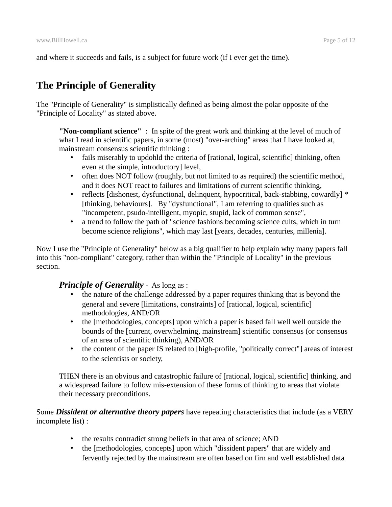and where it succeeds and fails, is a subject for future work (if I ever get the time).

# <span id="page-4-0"></span>**The Principle of Generality**

The "Principle of Generality" is simplistically defined as being almost the polar opposite of the "Principle of Locality" as stated above.

**"Non-compliant science"** : In spite of the great work and thinking at the level of much of what I read in scientific papers, in some (most) "over-arching" areas that I have looked at, mainstream consensus scientific thinking :

- fails miserably to updohld the criteria of [rational, logical, scientific] thinking, often even at the simple, introductory] level,
- often does NOT follow (roughly, but not limited to as required) the scientific method, and it does NOT react to failures and limitations of current scientific thinking,
- reflects [dishonest, dysfunctional, delinquent, hypocritical, back-stabbing, cowardly] \* [thinking, behaviours]. By "dysfunctional", I am referring to qualities such as "incompetent, psudo-intelligent, myopic, stupid, lack of common sense",
- a trend to follow the path of "science fashions becoming science cults, which in turn become science religions", which may last [years, decades, centuries, millenia].

Now I use the "Principle of Generality" below as a big qualifier to help explain why many papers fall into this "non-compliant" category, rather than within the "Principle of Locality" in the previous section.

#### **Principle of Generality** - As long as :

- the nature of the challenge addressed by a paper requires thinking that is beyond the general and severe [limitations, constraints] of [rational, logical, scientific] methodologies, AND/OR
- the [methodologies, concepts] upon which a paper is based fall well well outside the bounds of the [current, overwhelming, mainstream] scientific consensus (or consensus of an area of scientific thinking), AND/OR
- the content of the paper IS related to [high-profile, "politically correct"] areas of interest to the scientists or society,

THEN there is an obvious and catastrophic failure of [rational, logical, scientific] thinking, and a widespread failure to follow mis-extension of these forms of thinking to areas that violate their necessary preconditions.

Some *Dissident or alternative theory papers* have repeating characteristics that include (as a VERY incomplete list) :

- the results contradict strong beliefs in that area of science; AND
- the [methodologies, concepts] upon which "dissident papers" that are widely and fervently rejected by the mainstream are often based on firn and well established data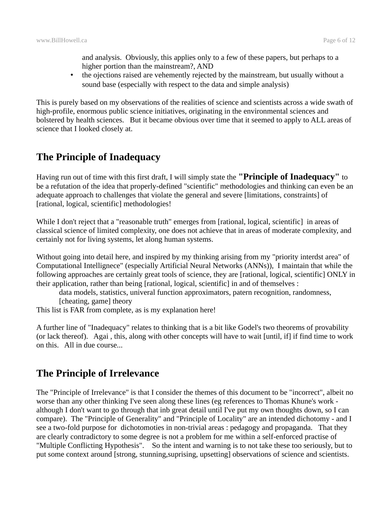and analysis. Obviously, this applies only to a few of these papers, but perhaps to a higher portion than the mainstream?, AND

• the ojections raised are vehemently rejected by the mainstream, but usually without a sound base (especially with respect to the data and simple analysis)

This is purely based on my observations of the realities of science and scientists across a wide swath of high-profile, enormous public science initiatives, originating in the environmental sciences and bolstered by health sciences. But it became obvious over time that it seemed to apply to ALL areas of science that I looked closely at.

# <span id="page-5-0"></span>**The Principle of Inadequacy**

Having run out of time with this first draft, I will simply state the **"Principle of Inadequacy"** to be a refutation of the idea that properly-defined "scientific" methodologies and thinking can even be an adequate approach to challenges that violate the general and severe [limitations, constraints] of [rational, logical, scientific] methodologies!

While I don't reject that a "reasonable truth" emerges from [rational, logical, scientific] in areas of classical science of limited complexity, one does not achieve that in areas of moderate complexity, and certainly not for living systems, let along human systems.

Without going into detail here, and inspired by my thinking arising from my "priority interdst area" of Computational Intellignece" (especially Artificial Neural Networks (ANNs)), I maintain that while the following approaches are certainly great tools of science, they are [rational, logical, scientific] ONLY in their application, rather than being [rational, logical, scientific] in and of themselves :

data models, statistics, univeral function approximators, patern recognition, randomness, [cheating, game] theory

This list is FAR from complete, as is my explanation here!

A further line of "Inadequacy" relates to thinking that is a bit like Godel's two theorems of provability (or lack thereof). Agai , this, along with other concepts will have to wait [until, if] if find time to work on this. All in due course...

## <span id="page-5-1"></span>**The Principle of Irrelevance**

The "Principle of Irrelevance" is that I consider the themes of this document to be "incorrect", albeit no worse than any other thinking I've seen along these lines (eg references to Thomas Khune's work although I don't want to go through that inb great detail until I've put my own thoughts down, so I can compare). The "Principle of Generality" and "Principle of Locality" are an intended dichotomy - and I see a two-fold purpose for dichotomoties in non-trivial areas : pedagogy and propaganda. That they are clearly contradictory to some degree is not a problem for me within a self-enforced practise of "Multiple Conflicting Hypothesis". So the intent and warning is to not take these too seriously, but to put some context around [strong, stunning,suprising, upsetting] observations of science and scientists.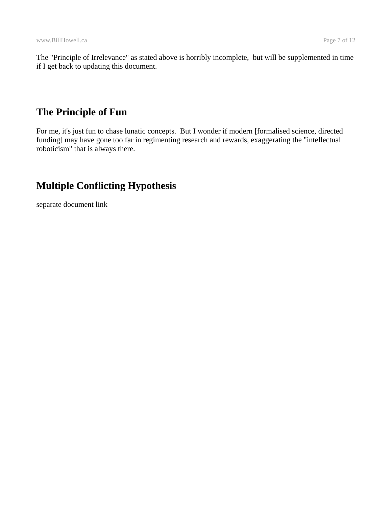The "Principle of Irrelevance" as stated above is horribly incomplete, but will be supplemented in time if I get back to updating this document.

## <span id="page-6-0"></span>**The Principle of Fun**

For me, it's just fun to chase lunatic concepts. But I wonder if modern [formalised science, directed funding] may have gone too far in regimenting research and rewards, exaggerating the "intellectual roboticism" that is always there.

# <span id="page-6-1"></span>**Multiple Conflicting Hypothesis**

separate document link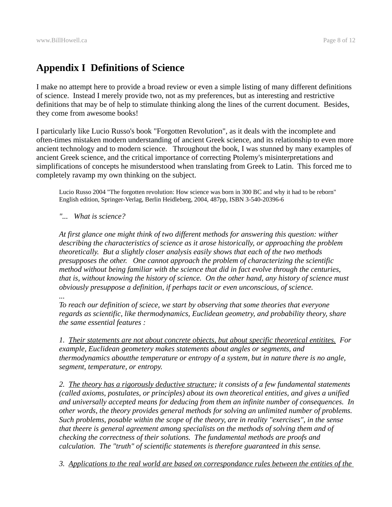# <span id="page-7-0"></span>**Appendix I Definitions of Science**

I make no attempt here to provide a broad review or even a simple listing of many different definitions of science. Instead I merely provide two, not as my preferences, but as interesting and restrictive definitions that may be of help to stimulate thinking along the lines of the current document. Besides, they come from awesome books!

I particularly like Lucio Russo's book "Forgotten Revolution", as it deals with the incomplete and often-times mistaken modern understanding of ancient Greek science, and its relationship to even more ancient technology and to modern science. Throughout the book, I was stunned by many examples of ancient Greek science, and the critical importance of correcting Ptolemy's misinterpretations and simplifications of concepts he misunderstood when translating from Greek to Latin. This forced me to completely ravamp my own thinking on the subject.

Lucio Russo 2004 "The forgotten revolution: How science was born in 300 BC and why it had to be reborn" English edition, Springer-Verlag, Berlin Heidleberg, 2004, 487pp, ISBN 3-540-20396-6

*"... What is science?*

*At first glance one might think of two different methods for answering this question: wither describing the characteristics of science as it arose historically, or approaching the problem theoretically. But a slightly closer analysis easily shows that each of the two methods presupposes the other. One cannot approach the problem of characterizing the scientific method without being familiar with the science that did in fact evolve through the centuries, that is, without knowing the history of science. On the other hand, any history of science must obviously presuppose a definition, if perhaps tacit or even unconscious, of science.* 

*...*

*To reach our definition of sciece, we start by observing that some theories that everyone regards as scientific, like thermodynamics, Euclidean geometry, and probability theory, share the same essential features :* 

*1. Their statements are not about concrete objects, but about specific theoretical entitites. For example, Euclidean geometery makes statements about angles or segments, and thermodynamics aboutthe temperature or entropy of a system, but in nature there is no angle, segment, temperature, or entropy.*

*2. The theory has a rigorously deductive structure; it consists of a few fundamental statements (called axioms, postulates, or principles) about its own theoretical entities, and gives a unified and universally accepted means for deducing from them an infinite number of consequences. In other words, the theory provides general methods for solving an unlimited number of problems. Such problems, posable within the scope of the theory, are in reality "exercises", in the sense that theere is general agreement among specialists on the methods of solving them and of checking the correctness of their solutions. The fundamental methods are proofs and calculation. The "truth" of scientific statements is therefore guaranteed in this sense.* 

*3. Applications to the real world are based on correspondance rules between the entities of the*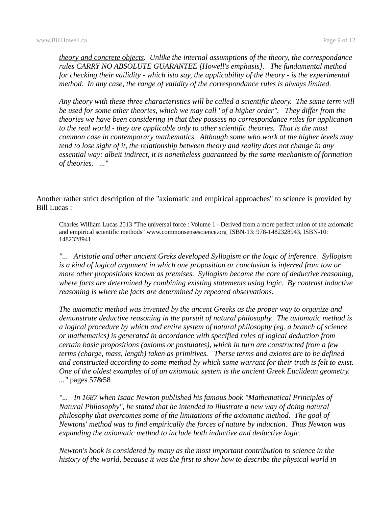*theory and concrete objects. Unlike the internal assumptions of the theory, the correspondance rules CARRY NO ABSOLUTE GUARANTEE [Howell's emphasis]. The fundamental method for checking their vailidity - which isto say, the applicability of the theory - is the experimental method. In any case, the range of validity of the correspondance rules is always limited.* 

*Any theory with these three characteristics will be called a scientific theory. The same term will be used for some other theories, which we may call "of a higher order". They differ from the theories we have been considering in that they possess no correspondance rules for application to the real world - they are applicable only to other scientific theories. That is the most common case in contemporary mathematics. Although some who work at the higher levels may tend to lose sight of it, the relationship between theory and reality does not change in any essential way: albeit indirect, it is nonetheless guaranteed by the same mechanism of formation of theories. ..."*

Another rather strict description of the "axiomatic and empirical approaches" to science is provided by Bill Lucas :

Charles William Lucas 2013 "The universal force : Volume 1 - Derived from a more perfect union of the axiomatic and empirical scientific methods" www.commonsensescience.org ISBN-13: 978-1482328943, ISBN-10: 1482328941

*"... Aristotle and other ancient Greks developed Syllogism or the logic of inference. Syllogism is a kind of logical argument in which one proposition or conclusion is inferred from tow or more other propositions known as premises. Syllogism became the core of deductive reasoning, where facts are determined by combining existing statements using logic. By contrast inductive reasoning is where the facts are determined by repeated observations.* 

*The axiomatic method was invented by the ancent Greeks as the proper way to organize and demonstrate deductive reasoning in the pursuit of natural philosophy. The axiomatic method is a logical procedure by which and entire system of natural philosophy (eg. a branch of science or mathematics) is generated in accordance with specified rules of logical deduction from certain basic propositions (axioms or postulates), which in turn are constructed from a few terms (charge, mass, length) taken as primitives. Therse terms and axioms are to be defined and constructed according to some method by which some warrant for their truth is felt to exist. One of the oldest examples of of an axiomatic system is the ancient Greek Euclidean geometry. ..."* pages 57&58

*"... In 1687 when Isaac Newton published his famous book "Mathematical Principles of Natural Philosophy", he stated that he intended to illustrate a new way of doing natural philosophy that overcomes some of the limitations of the axiomatic method. The goal of Newtons' method was to find empirically the forces of nature by induction. Thus Newton was expanding the axiomatic method to include both inductive and deductive logic.*

*Newton's book is considered by many as the most important contribution to science in the history of the world, because it was the first to show how to describe the physical world in*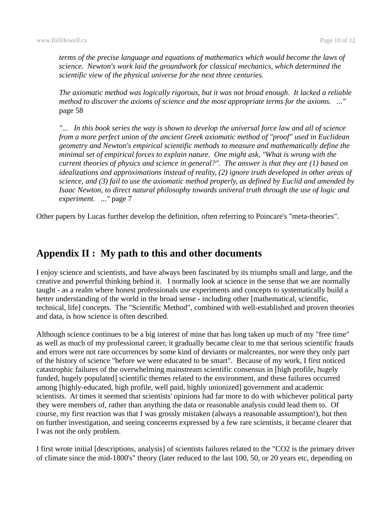*terms of the precise language and equations of mathematics which would become the laws of science. Newton's work laid the groundwork for classical mechanics, which determined the scientific view of the physical universe for the next three centuries.* 

*The axiomatic method was logically rigorous, but it was not broad enough. It lacked a reliable method to discover the axioms of science and the most appropriate terms for the axioms. ..."* page 58

*"... In this book series the way is shown to develop the universal force law and all of science from a more perfect union of the ancient Greek axiomatic method of "proof" used in Euclidean geometry and Newton's empirical scientific methods to measure and mathematically define the minimal set of empirical forces to explain nature. One might ask, "What is wrong with the current theories of physics and science in general?". The answer is that they are (1) based on idealizations and approximations instead of reality, (2) ignore truth developed in other areas of science, and (3) fail to use the axiomatic method properly, as defined by Euclid and amended by Isaac Newton, to direct natural philosophy towards univeral truth through the use of logic and experiment. ..."* page 7

Other papers by Lucas further develop the definition, often referring to Poincare's "meta-theories".

## **Appendix II : My path to this and other documents**

I enjoy science and scientists, and have always been fascinated by its triumphs small and large, and the creative and powerful thinking behind it. I normally look at science in the sense that we are normally taught - as a realm where honest professionals use experiments and concepts to systematically build a better understanding of the world in the broad sense - including other [mathematical, scientific, technical, life] concepts. The "Scientific Method", combined with well-established and proven theories and data, is how science is often described.

Although science continues to be a big interest of mine that has long taken up much of my "free time" as well as much of my professional career, it gradually became clear to me that serious scientific frauds and errors were not rare occurrences by some kind of deviants or malcreantes, nor were they only part of the history of science "before we were educated to be smart". Because of my work, I first noticed catastrophic failures of the overwhelming mainstream scientific consensus in [high profile, hugely funded, hugely populated] scientific themes related to the environment, and these failures occurred among [highly-educated, high profile, well paid, highly unionized] government and academic scientists. At times it seemed that scientists' opinions had far more to do with whichever political party they were members of, rather than anything the data or reasonable analysis could lead them to. Of course, my first reaction was that I was grossly mistaken (always a reasonable assumption!), but then on further investigation, and seeing conceerns expressed by a few rare scientists, it became clearer that I was not the only problem.

I first wrote initial [descriptions, analysis] of scientists failures related to the "CO2 is the primary driver of climate since the mid-1800's" theory (later reduced to the last 100, 50, or 20 years etc, depending on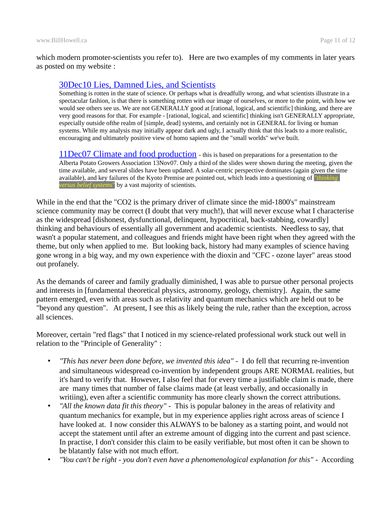which modern promoter-scientists you refer to). Here are two examples of my comments in later years as posted on my website :

#### [30Dec10 Lies, Damned Lies, and Scientists](http://www.billhowell.ca/Lies,%20Damned%20Lies,%20and%20Scientists/_Lies,%20damned%20lies,%20and%20scientists.html)

Something is rotten in the state of science. Or perhaps what is dreadfully wrong, and what scientists illustrate in a spectacular fashion, is that there is something rotten with our image of ourselves, or more to the point, with how we would see others see us. We are not GENERALLY good at [rational, logical, and scientific] thinking, and there are very good reasons for that. For example - [rational, logical, and scientific] thinking isn't GENERALLY appropriate, especially outside ofthe realm of [simple, dead] systems, and certainly not in GENERAL for living or human systems. While my analysis may initially appear dark and ugly, I actually think that this leads to a more realistic, encouraging and ultimately positive view of homo sapiens and the "small worlds" we've built.

[11Dec07 Climate and food production](http://www.billhowell.ca/Civilisations%20and%20sun/Howell%20-%20Alta%20Potatoe%20Growers%20Association%20FULL%20version%20Nov07.pdf) - this is based on preparations for a presentation to the Alberta Potato Growers Association 13Nov07. Only a third of the slides were shown during the meeting, given the time available, and several slides have been updated. A solar-centric perspective dominates (again given the time available), and key failures of the Kyoto Premise are pointed out, which leads into a questioning of *"thinking versus belief systems"* by a vast majority of scientists.

While in the end that the "CO2 is the primary driver of climate since the mid-1800's" mainstream science community may be correct (I doubt that very much!), that will never excuse what I characterise as the widespread [dishonest, dysfunctional, delinquent, hypocritical, back-stabbing, cowardly] thinking and behaviours of essentially all government and academic scientists. Needless to say, that wasn't a popular statement, and colleagues and friends might have been right when they agreed with the theme, but only when applied to me. But looking back, history had many examples of science having gone wrong in a big way, and my own experience with the dioxin and "CFC - ozone layer" areas stood out profanely.

As the demands of career and family gradually diminished, I was able to pursue other personal projects and interests in [fundamental theoretical physics, astronomy, geology, chemistry]. Again, the same pattern emerged, even with areas such as relativity and quantum mechanics which are held out to be "beyond any question". At present, I see this as likely being the rule, rather than the exception, across all sciences.

Moreover, certain "red flags" that I noticed in my science-related professional work stuck out well in relation to the "Principle of Generality" :

- *"This has never been done before, we invented this idea"* I do fell that recurring re-invention and simultaneous widespread co-invention by independent groups ARE NORMAL realities, but it's hard to verify that. However, I also feel that for every time a justifiable claim is made, there are many times that number of false claims made (at least verbally, and occasionally in writiing), even after a scientific community has more clearly shown the correct attributions.
- *"All the known data fit this theory"* This is popular baloney in the areas of relativity and quantum mechanics for example, but in my experience applies right across areas of science I have looked at. I now consider this ALWAYS to be baloney as a starting point, and would not accept the statement until after an extreme amount of digging into the current and past science. In practise, I don't consider this claim to be easily verifiable, but most often it can be shown to be blatantly false with not much effort.
- *"You can't be right you don't even have a phenomenological explanation for this"* According